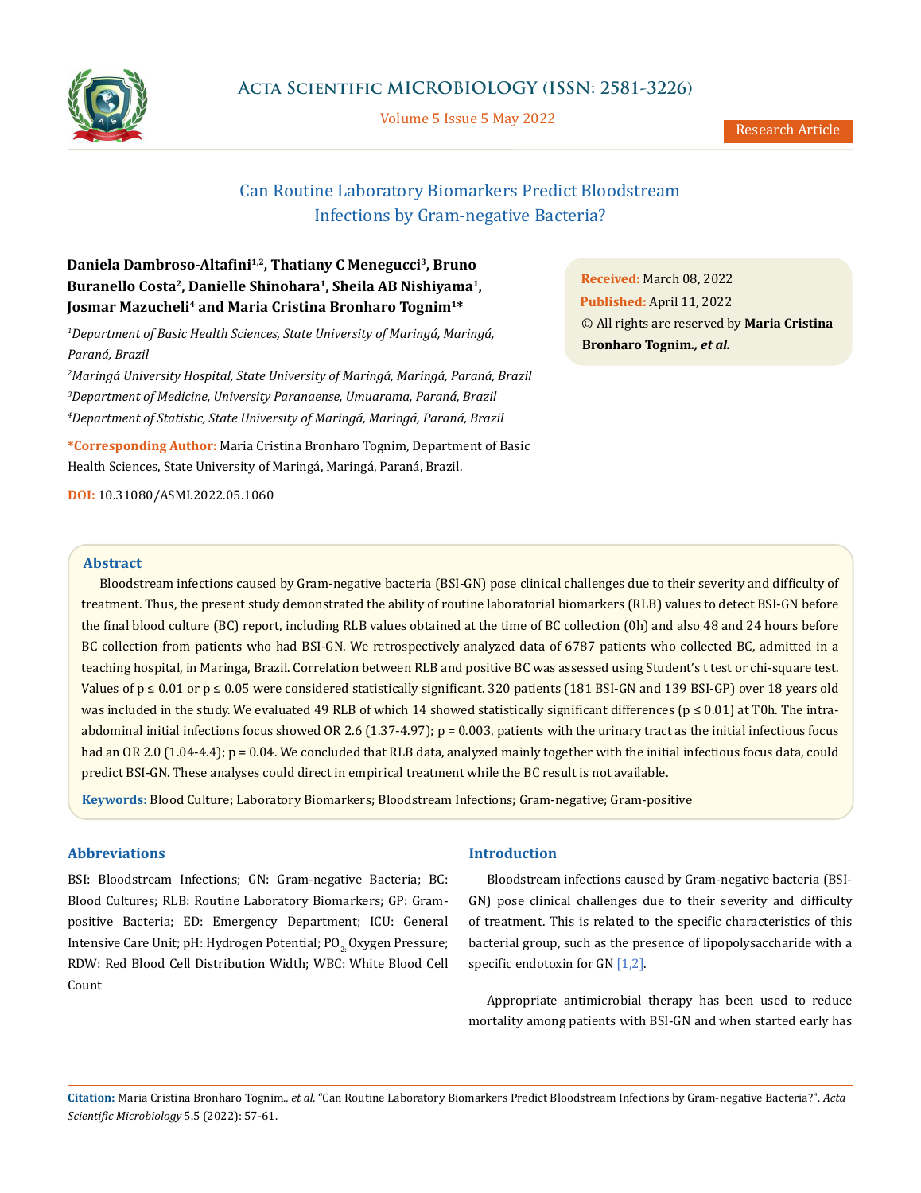

Volume 5 Issue 5 May 2022

Research Article

# Can Routine Laboratory Biomarkers Predict Bloodstream Infections by Gram-negative Bacteria?

# **Daniela Dambroso-Altafini1,2, Thatiany C Menegucci3, Bruno Buranello Costa2, Danielle Shinohara1, Sheila AB Nishiyama1,** Josmar Mazucheli<sup>4</sup> and Maria Cristina Bronharo Tognim<sup>1\*</sup>

*1 Department of Basic Health Sciences, State University of Maringá, Maringá, Paraná, Brazil*

*2 Maringá University Hospital, State University of Maringá, Maringá, Paraná, Brazil 3 Department of Medicine, University Paranaense, Umuarama, Paraná, Brazil 4 Department of Statistic, State University of Maringá, Maringá, Paraná, Brazil*

**\*Corresponding Author:** Maria Cristina Bronharo Tognim, Department of Basic Health Sciences, State University of Maringá, Maringá, Paraná, Brazil.

**DOI:** [10.31080/ASMI.2022.05.1060](http:// actascientific.com/ASMI/pdf/ASMI-05-1060.pdf)

**Received:** March 08, 2022 **Published:** April 11, 2022 © All rights are reserved by **Maria Cristina Bronharo Tognim***., et al.*

# **Abstract**

Bloodstream infections caused by Gram-negative bacteria (BSI-GN) pose clinical challenges due to their severity and difficulty of treatment. Thus, the present study demonstrated the ability of routine laboratorial biomarkers (RLB) values to detect BSI-GN before the final blood culture (BC) report, including RLB values obtained at the time of BC collection (0h) and also 48 and 24 hours before BC collection from patients who had BSI-GN. We retrospectively analyzed data of 6787 patients who collected BC, admitted in a teaching hospital, in Maringa, Brazil. Correlation between RLB and positive BC was assessed using Student's t test or chi-square test. Values of  $p \le 0.01$  or  $p \le 0.05$  were considered statistically significant. 320 patients (181 BSI-GN and 139 BSI-GP) over 18 years old was included in the study. We evaluated 49 RLB of which 14 showed statistically significant differences ( $p \le 0.01$ ) at T0h. The intraabdominal initial infections focus showed OR 2.6  $(1.37-4.97)$ ;  $p = 0.003$ , patients with the urinary tract as the initial infectious focus had an OR 2.0 (1.04-4.4); p = 0.04. We concluded that RLB data, analyzed mainly together with the initial infectious focus data, could predict BSI-GN. These analyses could direct in empirical treatment while the BC result is not available.

**Keywords:** Blood Culture; Laboratory Biomarkers; Bloodstream Infections; Gram-negative; Gram-positive

# **Abbreviations**

BSI: Bloodstream Infections; GN: Gram-negative Bacteria; BC: Blood Cultures; RLB: Routine Laboratory Biomarkers; GP: Grampositive Bacteria; ED: Emergency Department; ICU: General Intensive Care Unit; pH: Hydrogen Potential; PO<sub>2</sub> Oxygen Pressure; RDW: Red Blood Cell Distribution Width; WBC: White Blood Cell Count

### **Introduction**

Bloodstream infections caused by Gram-negative bacteria (BSI-GN) pose clinical challenges due to their severity and difficulty of treatment. This is related to the specific characteristics of this bacterial group, such as the presence of lipopolysaccharide with a specific endotoxin for GN [1,2].

Appropriate antimicrobial therapy has been used to reduce mortality among patients with BSI-GN and when started early has

**Citation:** Maria Cristina Bronharo Tognim*., et al.* "Can Routine Laboratory Biomarkers Predict Bloodstream Infections by Gram-negative Bacteria?". *Acta Scientific Microbiology* 5.5 (2022): 57-61.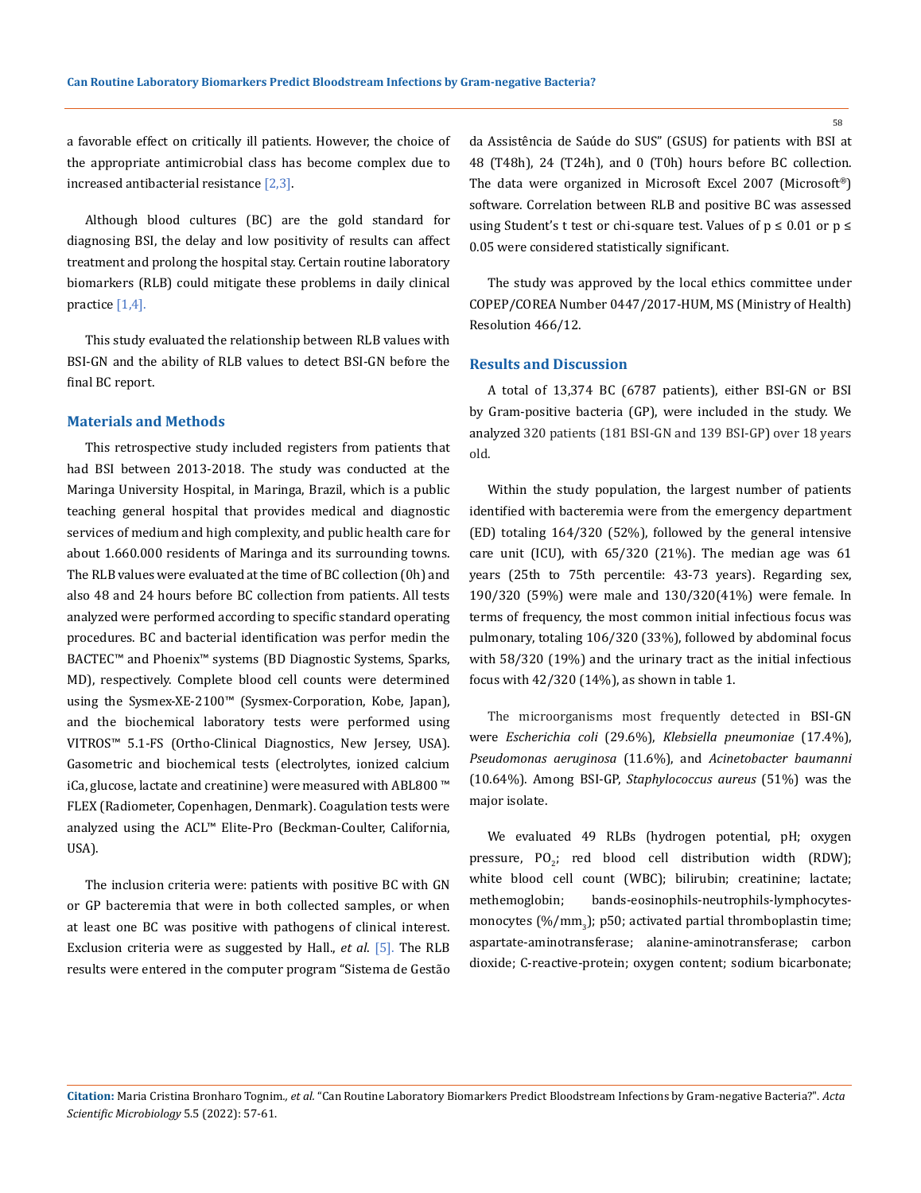a favorable effect on critically ill patients. However, the choice of the appropriate antimicrobial class has become complex due to increased antibacterial resistance [2,3].

Although blood cultures (BC) are the gold standard for diagnosing BSI, the delay and low positivity of results can affect treatment and prolong the hospital stay. Certain routine laboratory biomarkers (RLB) could mitigate these problems in daily clinical practice [1,4].

This study evaluated the relationship between RLB values with BSI-GN and the ability of RLB values to detect BSI-GN before the final BC report.

### **Materials and Methods**

This retrospective study included registers from patients that had BSI between 2013-2018. The study was conducted at the Maringa University Hospital, in Maringa, Brazil, which is a public teaching general hospital that provides medical and diagnostic services of medium and high complexity, and public health care for about 1.660.000 residents of Maringa and its surrounding towns. The RLB values were evaluated at the time of BC collection (0h) and also 48 and 24 hours before BC collection from patients. All tests analyzed were performed according to specific standard operating procedures. BC and bacterial identification was perfor medin the BACTEC™ and Phoenix™ systems (BD Diagnostic Systems, Sparks, MD), respectively. Complete blood cell counts were determined using the Sysmex-XE-2100™ (Sysmex-Corporation, Kobe, Japan), and the biochemical laboratory tests were performed using VITROS™ 5.1-FS (Ortho-Clinical Diagnostics, New Jersey, USA). Gasometric and biochemical tests (electrolytes, ionized calcium iCa, glucose, lactate and creatinine) were measured with ABL800 ™ FLEX (Radiometer, Copenhagen, Denmark). Coagulation tests were analyzed using the ACL™ Elite-Pro (Beckman-Coulter, California, USA).

The inclusion criteria were: patients with positive BC with GN or GP bacteremia that were in both collected samples, or when at least one BC was positive with pathogens of clinical interest. Exclusion criteria were as suggested by Hall., *et al*. [5]. The RLB results were entered in the computer program "Sistema de Gestão da Assistência de Saúde do SUS" (GSUS) for patients with BSI at 48 (T48h), 24 (T24h), and 0 (T0h) hours before BC collection. The data were organized in Microsoft Excel 2007 (Microsoft®) software. Correlation between RLB and positive BC was assessed using Student's t test or chi-square test. Values of  $p \le 0.01$  or  $p \le$ 0.05 were considered statistically significant.

The study was approved by the local ethics committee under COPEP/COREA Number 0447/2017-HUM, MS (Ministry of Health) Resolution 466/12.

#### **Results and Discussion**

A total of 13,374 BC (6787 patients), either BSI-GN or BSI by Gram-positive bacteria (GP), were included in the study. We analyzed 320 patients (181 BSI-GN and 139 BSI-GP) over 18 years old.

Within the study population, the largest number of patients identified with bacteremia were from the emergency department (ED) totaling 164/320 (52%), followed by the general intensive care unit (ICU), with 65/320 (21%). The median age was 61 years (25th to 75th percentile: 43-73 years). Regarding sex, 190/320 (59%) were male and 130/320(41%) were female. In terms of frequency, the most common initial infectious focus was pulmonary, totaling 106/320 (33%), followed by abdominal focus with 58/320 (19%) and the urinary tract as the initial infectious focus with 42/320 (14%), as shown in table 1.

The microorganisms most frequently detected in BSI-GN were *Escherichia coli* (29.6%), *Klebsiella pneumoniae* (17.4%), *Pseudomonas aeruginosa* (11.6%), and *Acinetobacter baumanni* (10.64%). Among BSI-GP, *Staphylococcus aureus* (51%) was the major isolate.

We evaluated 49 RLBs (hydrogen potential, pH; oxygen pressure,  $PO_2$ ; red blood cell distribution width (RDW); white blood cell count (WBC); bilirubin; creatinine; lactate; methemoglobin; bands-eosinophils-neutrophils-lymphocytesmonocytes (%/mm<sub>3</sub>); p50; activated partial thromboplastin time; aspartate-aminotransferase; alanine-aminotransferase; carbon dioxide; C-reactive-protein; oxygen content; sodium bicarbonate;

**Citation:** Maria Cristina Bronharo Tognim*., et al.* "Can Routine Laboratory Biomarkers Predict Bloodstream Infections by Gram-negative Bacteria?". *Acta Scientific Microbiology* 5.5 (2022): 57-61.

58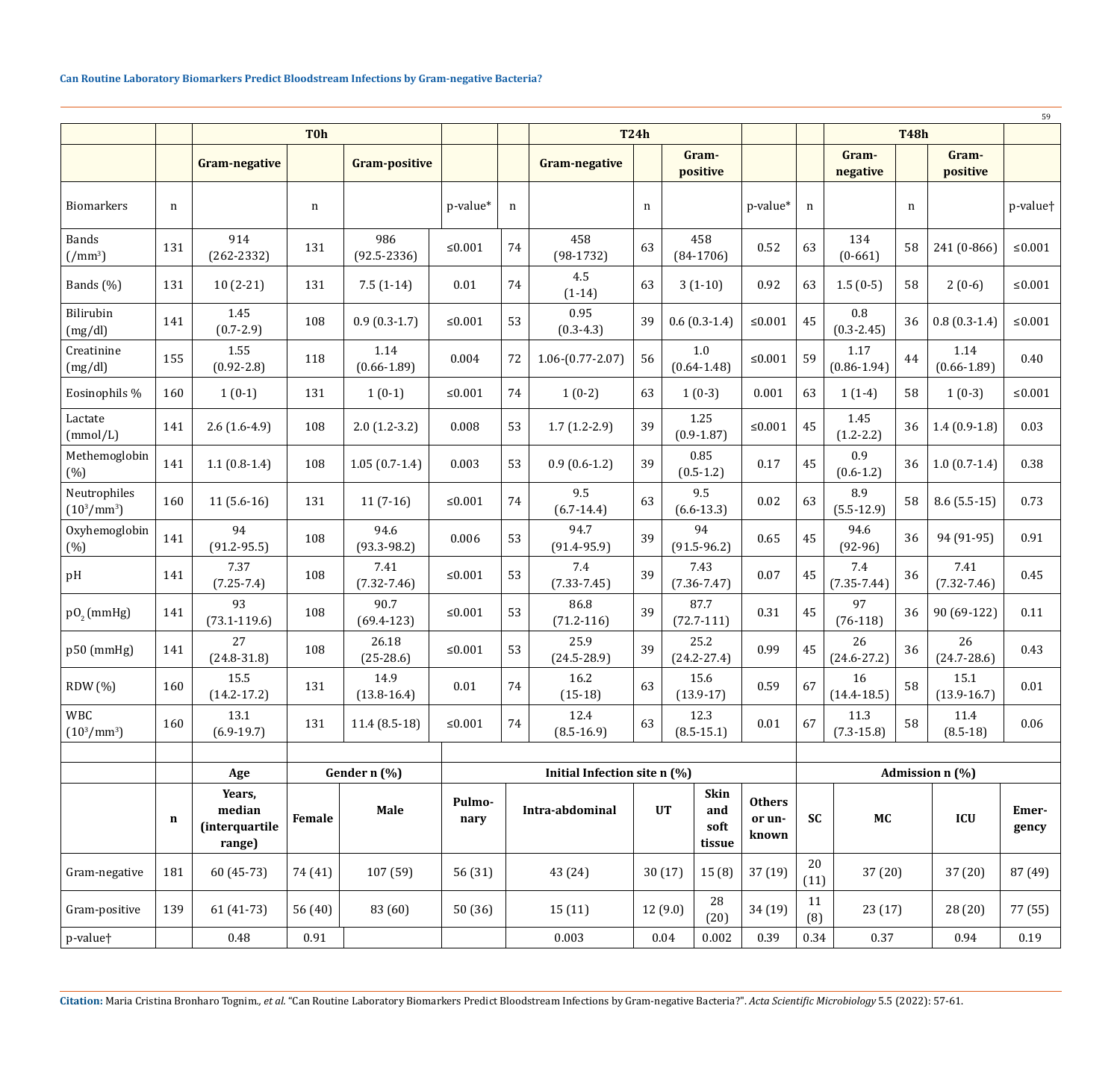|                                                |             |                                              |              |                         |                |    |                              |    |                                            |                                  |            |                         |    |                         | 59                   |  |
|------------------------------------------------|-------------|----------------------------------------------|--------------|-------------------------|----------------|----|------------------------------|----|--------------------------------------------|----------------------------------|------------|-------------------------|----|-------------------------|----------------------|--|
|                                                |             | <b>T0h</b>                                   |              |                         |                |    | <b>T24h</b>                  |    |                                            |                                  |            | <b>T48h</b>             |    |                         |                      |  |
|                                                |             | <b>Gram-negative</b>                         |              | <b>Gram-positive</b>    |                |    | <b>Gram-negative</b>         |    | Gram-<br>positive                          |                                  |            | Gram-<br>negative       |    | Gram-<br>positive       |                      |  |
| <b>Biomarkers</b>                              | n           |                                              | n            |                         | p-value*       | n  |                              | n  |                                            | p-value*                         | n          |                         | n  |                         | p-value <sup>+</sup> |  |
| <b>Bands</b><br>$\left( / \text{mm}^3 \right)$ | 131         | 914<br>$(262 - 2332)$                        | 131          | 986<br>$(92.5 - 2336)$  | ≤ $0.001$      | 74 | 458<br>$(98-1732)$           | 63 | 458<br>$(84-1706)$                         | 0.52                             | 63         | 134<br>$(0-661)$        | 58 | 241 (0-866)             | $≤0.001$             |  |
| Bands (%)                                      | 131         | $10(2-21)$                                   | 131          | $7.5(1-14)$             | 0.01           | 74 | 4.5<br>$(1-14)$              | 63 | $3(1-10)$                                  | 0.92                             | 63         | $1.5(0-5)$              | 58 | $2(0-6)$                | ${\leq}0.001$        |  |
| Bilirubin<br>(mg/dl)                           | 141         | 1.45<br>$(0.7 - 2.9)$                        | 108          | $0.9(0.3-1.7)$          | $\leq 0.001$   | 53 | 0.95<br>$(0.3-4.3)$          | 39 | $0.6(0.3-1.4)$                             | ${\leq}0.001$                    | 45         | 0.8<br>$(0.3 - 2.45)$   | 36 | $0.8(0.3-1.4)$          | ${\leq}0.001$        |  |
| Creatinine<br>(mg/dl)                          | 155         | 1.55<br>$(0.92 - 2.8)$                       | 118          | 1.14<br>$(0.66 - 1.89)$ | 0.004          | 72 | $1.06 - (0.77 - 2.07)$       | 56 | 1.0<br>$(0.64 - 1.48)$                     | $\leq 0.001$                     | 59         | 1.17<br>$(0.86 - 1.94)$ | 44 | 1.14<br>$(0.66 - 1.89)$ | 0.40                 |  |
| Eosinophils %                                  | 160         | $1(0-1)$                                     | 131          | $1(0-1)$                | ≤ $0.001$      | 74 | $1(0-2)$                     | 63 | $1(0-3)$                                   | 0.001                            | 63         | $1(1-4)$                | 58 | $1(0-3)$                | $≤0.001$             |  |
| Lactate<br>(mmol/L)                            | 141         | $2.6(1.6-4.9)$                               | 108          | $2.0(1.2-3.2)$          | 0.008          | 53 | $1.7(1.2-2.9)$               | 39 | 1.25<br>$(0.9 - 1.87)$                     | $\leq 0.001$                     | 45         | 1.45<br>$(1.2 - 2.2)$   | 36 | $1.4(0.9-1.8)$          | 0.03                 |  |
| Methemoglobin<br>(%)                           | 141         | $1.1(0.8-1.4)$                               | 108          | $1.05(0.7-1.4)$         | 0.003          | 53 | $0.9(0.6-1.2)$               | 39 | 0.85<br>$(0.5 - 1.2)$                      | 0.17                             | 45         | 0.9<br>$(0.6 - 1.2)$    | 36 | $1.0(0.7-1.4)$          | 0.38                 |  |
| Neutrophiles<br>$(10^3/\text{mm}^3)$           | 160         | $11(5.6-16)$                                 | 131          | $11(7-16)$              | $≤0.001$       | 74 | 9.5<br>$(6.7-14.4)$          | 63 | 9.5<br>$(6.6 - 13.3)$                      | 0.02                             | 63         | 8.9<br>$(5.5 - 12.9)$   | 58 | $8.6(5.5-15)$           | 0.73                 |  |
| Oxyhemoglobin<br>(%)                           | 141         | 94<br>$(91.2 - 95.5)$                        | 108          | 94.6<br>$(93.3 - 98.2)$ | 0.006          | 53 | 94.7<br>$(91.4 - 95.9)$      | 39 | 94<br>$(91.5 - 96.2)$                      | 0.65                             | 45         | 94.6<br>$(92-96)$       | 36 | 94 (91-95)              | 0.91                 |  |
| pH                                             | 141         | 7.37<br>$(7.25 - 7.4)$                       | 108          | 7.41<br>$(7.32 - 7.46)$ | ≤ $0.001$      | 53 | 7.4<br>$(7.33 - 7.45)$       | 39 | 7.43<br>$(7.36 - 7.47)$                    | 0.07                             | 45         | 7.4<br>$(7.35 - 7.44)$  | 36 | 7.41<br>$(7.32 - 7.46)$ | 0.45                 |  |
| $p0$ <sub>2</sub> (mmHg)                       | 141         | 93<br>$(73.1 - 119.6)$                       | 108          | 90.7<br>$(69.4 - 123)$  | $≤0.001$       | 53 | 86.8<br>$(71.2 - 116)$       | 39 | 87.7<br>$(72.7-111)$                       | 0.31                             | 45         | 97<br>$(76-118)$        | 36 | 90 (69-122)             | 0.11                 |  |
| p50 (mmHg)                                     | 141         | 27<br>$(24.8 - 31.8)$                        | 108          | 26.18<br>$(25-28.6)$    | $≤0.001$       | 53 | 25.9<br>$(24.5 - 28.9)$      | 39 | 25.2<br>$(24.2 - 27.4)$                    | 0.99                             | 45         | 26<br>$(24.6 - 27.2)$   | 36 | 26<br>$(24.7 - 28.6)$   | 0.43                 |  |
| RDW (%)                                        | 160         | 15.5<br>$(14.2 - 17.2)$                      | 131          | 14.9<br>$(13.8-16.4)$   | 0.01           | 74 | 16.2<br>$(15-18)$            | 63 | 15.6<br>$(13.9-17)$                        | 0.59                             | 67         | 16<br>$(14.4 - 18.5)$   | 58 | 15.1<br>$(13.9 - 16.7)$ | 0.01                 |  |
| <b>WBC</b><br>$(10^3/\text{mm}^3)$             | 160         | 13.1<br>$(6.9-19.7)$                         | 131          | $11.4(8.5-18)$          | ${\leq}0.001$  | 74 | 12.4<br>$(8.5-16.9)$         | 63 | 12.3<br>$(8.5 - 15.1)$                     | $0.01\,$                         | 67         | 11.3<br>$(7.3 - 15.8)$  | 58 | 11.4<br>$(8.5-18)$      | 0.06                 |  |
|                                                |             |                                              |              |                         |                |    |                              |    |                                            |                                  |            |                         |    |                         |                      |  |
|                                                |             | Age                                          | Gender n (%) |                         |                |    | Initial Infection site n (%) |    |                                            |                                  |            | Admission n (%)         |    |                         |                      |  |
|                                                | $\mathbf n$ | Years,<br>median<br>(interquartile<br>range) | Female       | Male                    | Pulmo-<br>nary |    | Intra-abdominal              |    | Skin<br><b>UT</b><br>and<br>soft<br>tissue | <b>Others</b><br>or un-<br>known | <b>SC</b>  | MC                      |    | ICU                     | Emer-<br>gency       |  |
| Gram-negative                                  | 181         | $60(45-73)$                                  | 74 (41)      | 107 (59)                | 56 (31)        |    | 43 (24)                      |    | 30(17)<br>15(8)                            | 37 (19)                          | 20<br>(11) | 37 (20)                 |    | 37 (20)                 | 87 (49)              |  |
| Gram-positive                                  | 139         | $61(41-73)$                                  | 56 (40)      | 83 (60)                 | 50(36)         |    | 15(11)                       |    | 28<br>12(9.0)<br>(20)                      | 34 (19)                          | 11<br>(8)  | 23(17)                  |    | 28(20)                  | 77 (55)              |  |
| p-value <sup>+</sup>                           |             | 0.48                                         | 0.91         |                         |                |    | 0.003                        |    | 0.002<br>0.04                              | 0.39                             | 0.34       | $0.37\,$                |    | 0.94                    | 0.19                 |  |

**Citation:** Maria Cristina Bronharo Tognim*., et al.* "Can Routine Laboratory Biomarkers Predict Bloodstream Infections by Gram-negative Bacteria?". *Acta Scientific Microbiology* 5.5 (2022): 57-61.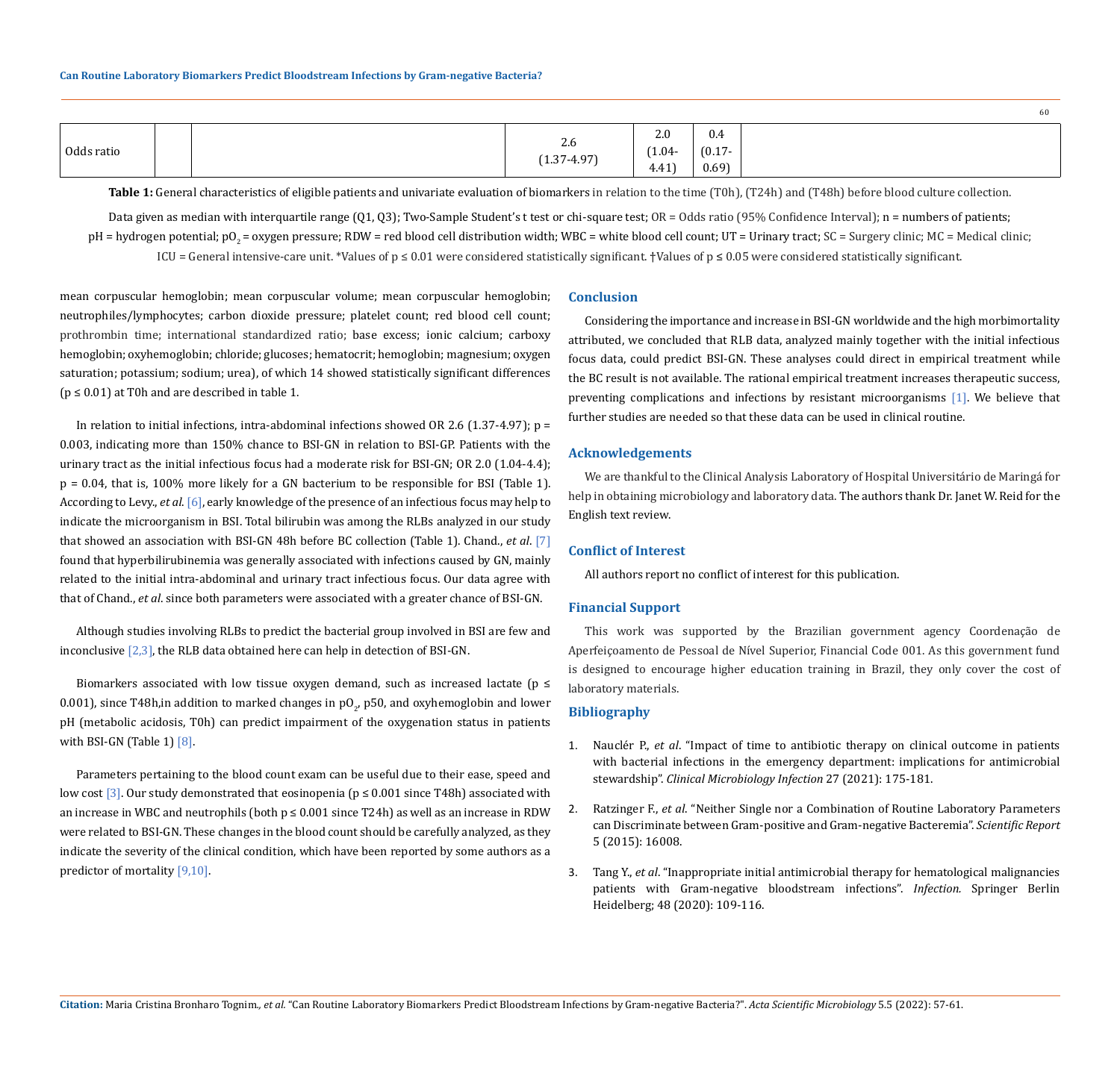|            |  |                                |                                 |                                    | -60 |
|------------|--|--------------------------------|---------------------------------|------------------------------------|-----|
| Odds ratio |  | $\sim$<br>2.6<br>$1.37 - 4.97$ | 2.0<br>$(1.04 -$<br>.11<br>4.41 | 0.4<br>$(0.17 -$<br>$\sim$<br>0.69 |     |

Table 1: General characteristics of eligible patients and univariate evaluation of biomarkers in relation to the time (T0h), (T24h) and (T48h) before blood culture collection.

Data given as median with interquartile range (Q1, Q3); Two-Sample Student's t test or chi-square test; OR = Odds ratio (95% Confidence Interval); n = numbers of patients; pH = hydrogen potential; pO<sub>2</sub> = oxygen pressure; RDW = red blood cell distribution width; WBC = white blood cell count; UT = Urinary tract; SC = Surgery clinic; MC = Medical clinic; ICU = General intensive-care unit. \*Values of  $p \le 0.01$  were considered statistically significant. †Values of  $p \le 0.05$  were considered statistically significant.

mean corpuscular hemoglobin; mean corpuscular volume; mean corpuscular hemoglobin; neutrophiles/lymphocytes; carbon dioxide pressure; platelet count; red blood cell count; prothrombin time; international standardized ratio; base excess; ionic calcium; carboxy hemoglobin; oxyhemoglobin; chloride; glucoses; hematocrit; hemoglobin; magnesium; oxygen saturation; potassium; sodium; urea), of which 14 showed statistically significant differences  $(p \le 0.01)$  at T0h and are described in table 1.

In relation to initial infections, intra-abdominal infections showed OR 2.6 (1.37-4.97);  $p =$ 0.003, indicating more than 150% chance to BSI-GN in relation to BSI-GP. Patients with the urinary tract as the initial infectious focus had a moderate risk for BSI-GN; OR 2.0 (1.04-4.4); p = 0.04, that is, 100% more likely for a GN bacterium to be responsible for BSI (Table 1). According to Levy., *et al*. [6], early knowledge of the presence of an infectious focus may help to indicate the microorganism in BSI. Total bilirubin was among the RLBs analyzed in our study that showed an association with BSI-GN 48h before BC collection (Table 1). Chand., *et al*. [7] found that hyperbilirubinemia was generally associated with infections caused by GN, mainly related to the initial intra-abdominal and urinary tract infectious focus. Our data agree with that of Chand., *et al*. since both parameters were associated with a greater chance of BSI-GN.

Although studies involving RLBs to predict the bacterial group involved in BSI are few and inconclusive  $[2,3]$ , the RLB data obtained here can help in detection of BSI-GN.

Biomarkers associated with low tissue oxygen demand, such as increased lactate ( $p \leq$  $0.001$ ), since T48h,in addition to marked changes in pO<sub>2</sub>, p50, and oxyhemoglobin and lower pH (metabolic acidosis, T0h) can predict impairment of the oxygenation status in patients with BSI-GN (Table 1) [8].

Parameters pertaining to the blood count exam can be useful due to their ease, speed and low cost [3]. Our study demonstrated that eosinopenia ( $p \le 0.001$  since T48h) associated with an increase in WBC and neutrophils (both  $p \le 0.001$  since T24h) as well as an increase in RDW were related to BSI-GN. These changes in the blood count should be carefully analyzed, as they indicate the severity of the clinical condition, which have been reported by some authors as a predictor of mortality [9,10].

#### **Conclusion**

Considering the importance and increase in BSI-GN worldwide and the high morbimortality attributed, we concluded that RLB data, analyzed mainly together with the initial infectious focus data, could predict BSI-GN. These analyses could direct in empirical treatment while the BC result is not available. The rational empirical treatment increases therapeutic success, preventing complications and infections by resistant microorganisms [1]. We believe that further studies are needed so that these data can be used in clinical routine.

#### **Acknowledgements**

We are thankful to the Clinical Analysis Laboratory of Hospital Universitário de Maringá for help in obtaining microbiology and laboratory data. The authors thank Dr. Janet W. Reid for the English text review.

# **Conflict of Interest**

All authors report no conflict of interest for this publication.

#### **Financial Support**

This work was supported by the Brazilian government agency Coordenação de Aperfeiçoamento de Pessoal de Nível Superior, Financial Code 001. As this government fund is designed to encourage higher education training in Brazil, they only cover the cost of laboratory materials.

# **Bibliography**

- 1. Nauclér P., *et al*[. "Impact of time to antibiotic therapy on clinical outcome in patients](https://doi.org/10.1016/j.cmi.2020.02.032)  [with bacterial infections in the emergency department: implications for antimicrobial](https://doi.org/10.1016/j.cmi.2020.02.032)  stewardship". *[Clinical Microbiology Infection](https://doi.org/10.1016/j.cmi.2020.02.032)* 27 (2021): 175-181.
- 2. Ratzinger F., *et al*[. "Neither Single nor a Combination of Routine Laboratory Parameters](https://doi.org/10.1038/srep16008)  [can Discriminate between Gram-positive and Gram-negative Bacteremia".](https://doi.org/10.1038/srep16008) *Scientific Report* [5 \(2015\): 16008.](https://doi.org/10.1038/srep16008)
- 3. Tang Y., *et al*[. "Inappropriate initial antimicrobial therapy for hematological malignancies](https://doi.org/10.1007/s15010-019-01370-x)  [patients with Gram-negative bloodstream infections".](https://doi.org/10.1007/s15010-019-01370-x) *Infection.* Springer Berlin [Heidelberg; 48 \(2020\): 109-116.](https://doi.org/10.1007/s15010-019-01370-x)